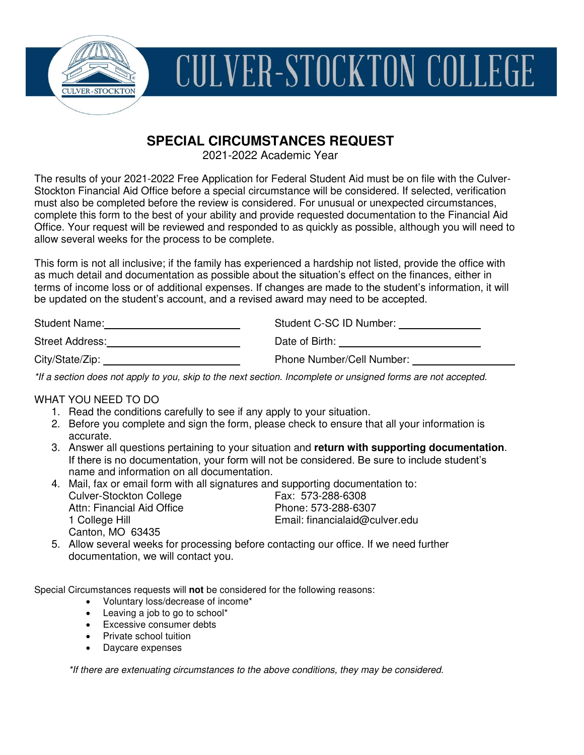

# **CULVER-STOCKTON COLLEGE**

# **SPECIAL CIRCUMSTANCES REQUEST**

2021-2022 Academic Year

The results of your 2021-2022 Free Application for Federal Student Aid must be on file with the Culver-Stockton Financial Aid Office before a special circumstance will be considered. If selected, verification must also be completed before the review is considered. For unusual or unexpected circumstances, complete this form to the best of your ability and provide requested documentation to the Financial Aid Office. Your request will be reviewed and responded to as quickly as possible, although you will need to allow several weeks for the process to be complete.

This form is not all inclusive; if the family has experienced a hardship not listed, provide the office with as much detail and documentation as possible about the situation's effect on the finances, either in terms of income loss or of additional expenses. If changes are made to the student's information, it will be updated on the student's account, and a revised award may need to be accepted.

| Student Name:          | Student C-SC ID Number:   |
|------------------------|---------------------------|
| <b>Street Address:</b> | Date of Birth:            |
| City/State/Zip:        | Phone Number/Cell Number: |

\*If a section does not apply to you, skip to the next section. Incomplete or unsigned forms are not accepted.

### WHAT YOU NEED TO DO

- 1. Read the conditions carefully to see if any apply to your situation.
- 2. Before you complete and sign the form, please check to ensure that all your information is accurate.
- 3. Answer all questions pertaining to your situation and **return with supporting documentation**. If there is no documentation, your form will not be considered. Be sure to include student's name and information on all documentation.
- 4. Mail, fax or email form with all signatures and supporting documentation to: Culver-Stockton College<br>
Attn: Financial Aid Office<br>
Attn: Financial Aid Office<br>

Fhone: 573-288-6307 Attn: Financial Aid Office<br>1 College Hill Email: financialaid@culver.edu Canton, MO 63435
- 5. Allow several weeks for processing before contacting our office. If we need further documentation, we will contact you.

Special Circumstances requests will **not** be considered for the following reasons:

- Voluntary loss/decrease of income\*
- Leaving a job to go to school\*
- **Excessive consumer debts**
- Private school tuition
- Daycare expenses

\*If there are extenuating circumstances to the above conditions, they may be considered.